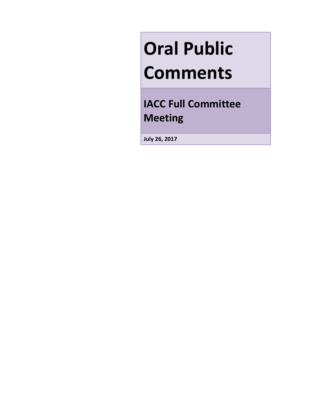# **Oral Public Comments**

**IACC Full Committee Meeting**

**July 26, 2017**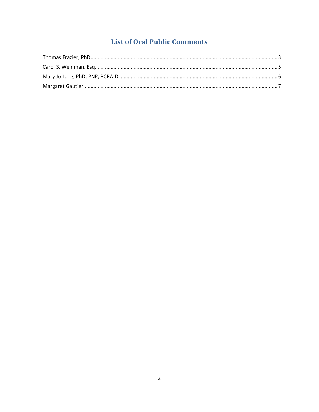## **List of Oral Public Comments**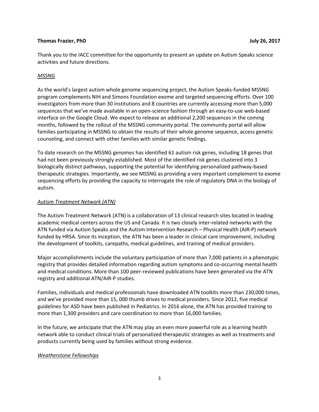#### <span id="page-2-0"></span>**Thomas Frazier, PhD July 26, 2017**

Thank you to the IACC committee for the opportunity to present an update on Autism Speaks science activities and future directions.

#### *MSSNG*

As the world's largest autism whole genome sequencing project, the Autism Speaks-funded MSSNG program complements NIH and Simons Foundation exome and targeted sequencing efforts. Over 100 investigators from more than 30 institutions and 8 countries are currently accessing more than 5,000 sequences that we've made available in an open-science fashion through an easy-to-use web-based interface on the Google Cloud. We expect to release an additional 2,200 sequences in the coming months, followed by the rollout of the MSSNG community portal. The community portal will allow families participating in MSSNG to obtain the results of their whole genome sequence, access genetic counseling, and connect with other families with similar genetic findings.

To date research on the MSSNG genomes has identified 61 autism risk genes, including 18 genes that had not been previously strongly established. Most of the identified risk genes clustered into 3 biologically distinct pathways, supporting the potential for identifying personalized pathway-based therapeutic strategies. Importantly, we see MSSNG as providing a very important complement to exome sequencing efforts by providing the capacity to interrogate the role of regulatory DNA in the biology of autism.

#### *Autism Treatment Network (ATN)*

The Autism Treatment Network (ATN) is a collaboration of 13 clinical research sites located in leading academic medical centers across the US and Canada. It is two closely inter-related networks with the ATN funded via Autism Speaks and the Autism Intervention Research – Physical Health (AIR-P) network funded by HRSA. Since its inception, the ATN has been a leader in clinical care improvement, including the development of toolkits, carepaths, medical guidelines, and training of medical providers.

Major accomplishments include the voluntary participation of more than 7,000 patients in a phenotypic registry that provides detailed information regarding autism symptoms and co-occurring mental health and medical conditions. More than 100 peer-reviewed publications have been generated via the ATN registry and additional ATN/AIR-P studies.

Families, individuals and medical professionals have downloaded ATN toolkits more than 230,000 times, and we've provided more than 15, 000 thumb drives to medical providers. Since 2012, five medical guidelines for ASD have been published in Pediatrics. In 2016 alone, the ATN has provided training to more than 1,300 providers and care coordination to more than 16,000 families.

In the future, we anticipate that the ATN may play an even more powerful role as a learning health network able to conduct clinical trials of personalized therapeutic strategies as well as treatments and products currently being used by families without strong evidence.

#### *Weatherstone Fellowships*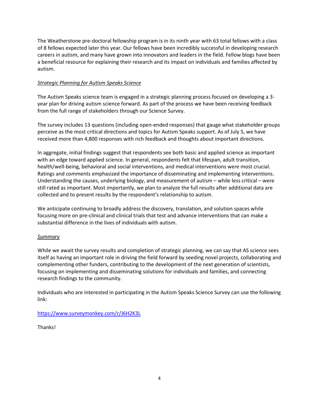The Weatherstone pre-doctoral fellowship program is in its ninth year with 63 total fellows with a class of 8 fellows expected later this year. Our fellows have been incredibly successful in developing research careers in autism, and many have grown into innovators and leaders in the field. Fellow blogs have been a beneficial resource for explaining their research and its impact on individuals and families affected by autism.

### *Strategic Planning for Autism Speaks Science*

The Autism Speaks science team is engaged in a strategic planning process focused on developing a 3 year plan for driving autism science forward. As part of the process we have been receiving feedback from the full range of stakeholders through our Science Survey.

The survey includes 13 questions (including open-ended responses) that gauge what stakeholder groups perceive as the most critical directions and topics for Autism Speaks support. As of July 5, we have received more than 4,800 responses with rich feedback and thoughts about important directions.

In aggregate, initial findings suggest that respondents see both basic and applied science as important with an edge toward applied science. In general, respondents felt that lifespan, adult transition, health/well-being, behavioral and social interventions, and medical interventions were most crucial. Ratings and comments emphasized the importance of disseminating and implementing interventions. Understanding the causes, underlying biology, and measurement of autism – while less critical – were still rated as important. Most importantly, we plan to analyze the full results after additional data are collected and to present results by the respondent's relationship to autism.

We anticipate continuing to broadly address the discovery, translation, and solution spaces while focusing more on pre-clinical and clinical trials that test and advance interventions that can make a substantial difference in the lives of individuals with autism.

#### *Summary*

While we await the survey results and completion of strategic planning, we can say that AS science sees itself as having an important role in driving the field forward by seeding novel projects, collaborating and complementing other funders, contributing to the development of the next generation of scientists, focusing on implementing and disseminating solutions for individuals and families, and connecting research findings to the community.

Individuals who are interested in participating in the Autism Speaks Science Survey can use the following link:

<https://www.surveymonkey.com/r/J6H2K3L>

Thanks!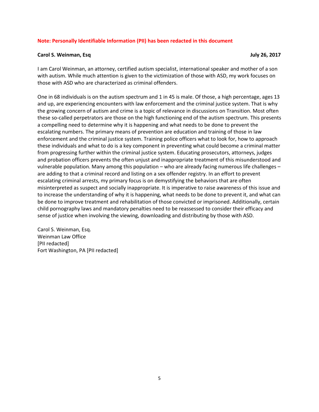#### **Note: Personally Identifiable Information (PII) has been redacted in this document**

#### <span id="page-4-0"></span>**Carol S. Weinman, Esq July 26, 2017**

I am Carol Weinman, an attorney, certified autism specialist, international speaker and mother of a son with autism. While much attention is given to the victimization of those with ASD, my work focuses on those with ASD who are characterized as criminal offenders.

One in 68 individuals is on the autism spectrum and 1 in 45 is male. Of those, a high percentage, ages 13 and up, are experiencing encounters with law enforcement and the criminal justice system. That is why the growing concern of autism and crime is a topic of relevance in discussions on Transition. Most often these so-called perpetrators are those on the high functioning end of the autism spectrum. This presents a compelling need to determine why it is happening and what needs to be done to prevent the escalating numbers. The primary means of prevention are education and training of those in law enforcement and the criminal justice system. Training police officers what to look for, how to approach these individuals and what to do is a key component in preventing what could become a criminal matter from progressing further within the criminal justice system. Educating prosecutors, attorneys, judges and probation officers prevents the often unjust and inappropriate treatment of this misunderstood and vulnerable population. Many among this population – who are already facing numerous life challenges – are adding to that a criminal record and listing on a sex offender registry. In an effort to prevent escalating criminal arrests, my primary focus is on demystifying the behaviors that are often misinterpreted as suspect and socially inappropriate. It is imperative to raise awareness of this issue and to increase the understanding of why it is happening, what needs to be done to prevent it, and what can be done to improve treatment and rehabilitation of those convicted or imprisoned. Additionally, certain child pornography laws and mandatory penalties need to be reassessed to consider their efficacy and sense of justice when involving the viewing, downloading and distributing by those with ASD.

Carol S. Weinman, Esq. Weinman Law Office [PII redacted] Fort Washington, PA [PII redacted]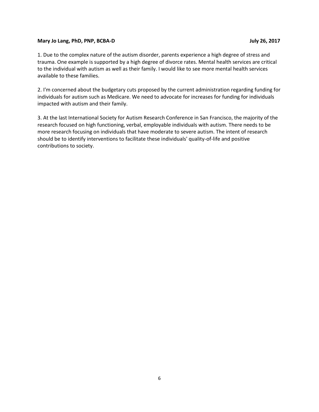#### <span id="page-5-0"></span>**Mary Jo Lang, PhD, PNP, BCBA-D July 26, 2017**

1. Due to the complex nature of the autism disorder, parents experience a high degree of stress and trauma. One example is supported by a high degree of divorce rates. Mental health services are critical to the individual with autism as well as their family. I would like to see more mental health services available to these families.

2. I'm concerned about the budgetary cuts proposed by the current administration regarding funding for individuals for autism such as Medicare. We need to advocate for increases for funding for individuals impacted with autism and their family.

3. At the last International Society for Autism Research Conference in San Francisco, the majority of the research focused on high functioning, verbal, employable individuals with autism. There needs to be more research focusing on individuals that have moderate to severe autism. The intent of research should be to identify interventions to facilitate these individuals' quality-of-life and positive contributions to society.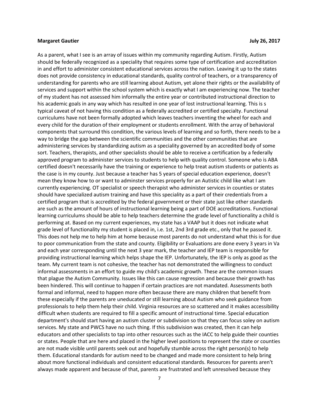#### <span id="page-6-0"></span>**Margaret Gautier According to the United States of the United States and According to According the United States According to According the United States and According to According the United States and According to Acco**

As a parent, what I see is an array of issues within my community regarding Autism. Firstly, Autism should be federally recognized as a speciality that requires some type of certification and accreditation in and effort to administer consistent educational services across the nation. Leaving it up to the states does not provide consistency in educational standards, quality control of teachers, or a transparency of understanding for parents who are still learning about Autism, yet alone their rights or the availability of services and support within the school system which is exactly what I am experiencing now. The teacher of my student has not assessed him informally the entire year or contributed instructional direction to his academic goals in any way which has resulted in one year of lost instructional learning. This is s typical caveat of not having this condition as a federally accredited or certified specialty. Functional curriculums have not been formally adopted which leaves teachers inventing the wheel for each and every child for the duration of their employment or students enrollment. With the array of behavioral components that surround this condition, the various levels of learning and so forth, there needs to be a way to bridge the gap between the scientific communities and the other communities that are administering services by standardizing autism as a speciality governed by an accredited body of some sort. Teachers, therapists, and other specialists should be able to receive a certification by a federally approved program to administer services to students to help with quality control. Someone who is ABA certified doesn't necessarily have the training or experience to help treat autism students or patients as the case is in my county. Just because a teacher has 5 years of special education experience, doesn't mean they know how to or want to adminster services properly for an Autistic child like what I am currently experiencing. OT specialist or speech therapist who administer services in counties or states should have specialized autism training and have this speciality as a part of their credentials from a certified program that is accredited by the federal government or their state just like other standards are such as the amount of hours of instructional learning being a part of DOE accreditations. Functional learning curriculums should be able to help teachers determine the grade level of functionality a child is performing at. Based on my current experiences, my state has a VAAP but it does not indicate what grade level of functionality my student is placed in, i.e. 1st, 2nd 3rd grade etc., only that he passed it. This does not help me to help him at home because most parents do not understand what this is for due to poor communication from the state and county. Eligibility or Evaluations are done every 3 years in Va and each year corresponding until the next 3 year mark, the teacher and IEP team is responsible for providing instructional learning which helps shape the IEP. Unfortunately, the IEP is only as good as the team. My current team is not cohesive, the teacher has not demonstrated the willingness to conduct informal assessments in an effort to guide my child's academic growth. These are the common issues that plague the Autism Community. Issues like this can cause regression and because their growth has been hindered. This will continue to happen if certain practices are not mandated. Assessments both formal and informal, need to happen more often because there are many children that benefit from these especially if the parents are uneducated or still learning about Autism who seek guidance from professionals to help them help their child. Virginia resources are so scattered and it makes accessibility difficult when students are required to fill a specific amount of instructional time. Special education department's should start having an autism cluster or subdivision so that they can focus soley on autism services. My state and PWCS have no such thing. If this subdivision was created, then it can help educators and other specialists to tap into other resources such as the IACC to help guide their counties or states. People that are here and placed in the higher level positions to represent the state or counties are not made visible until parents seek out and hopefully stumble across the right person(s) to help them. Educational standards for autism need to be changed and made more consistent to help bring about more functional individuals and consistent educational standards. Resources for parents aren't always made apparent and because of that, parents are frustrated and left unresolved because they